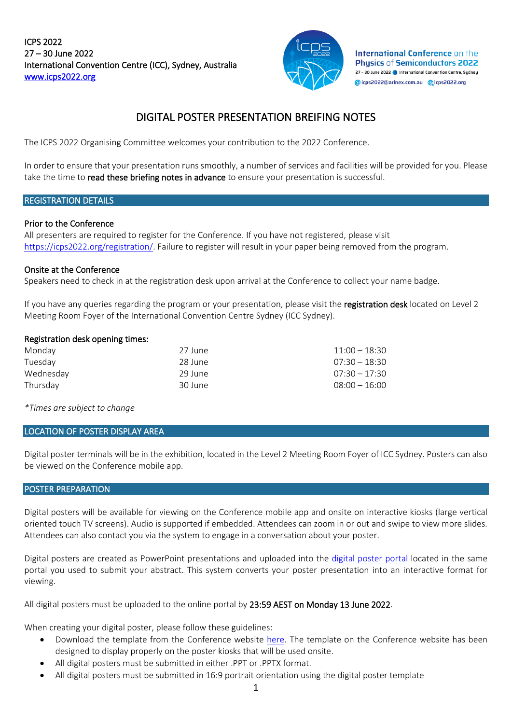ICPS 2022 27 – 30 June 2022 International Convention Centre (ICC), Sydney, Australia [www.icps2022.org](http://www.icps2022.org/) 



International Conference on the **Phusics of Semiconductors 2022** 27 - 30 June 2022 | International Convention Centre, Sydney @icps2022@arinex.com.au @icps2022.org

# DIGITAL POSTER PRESENTATION BREIFING NOTES

The ICPS 2022 Organising Committee welcomes your contribution to the 2022 Conference.

In order to ensure that your presentation runs smoothly, a number of services and facilities will be provided for you. Please take the time to read these briefing notes in advance to ensure your presentation is successful.

## REGISTRATION DETAILS

#### Prior to the Conference

All presenters are required to register for the Conference. If you have not registered, please visit [https://icps2022.org/registration/.](https://icps2022.org/registration/) Failure to register will result in your paper being removed from the program.

#### Onsite at the Conference

Speakers need to check in at the registration desk upon arrival at the Conference to collect your name badge.

If you have any queries regarding the program or your presentation, please visit the registration desk located on Level 2 Meeting Room Foyer of the International Convention Centre Sydney (ICC Sydney).

#### Registration desk opening times:

| Monday    | 27 June | $11:00 - 18:30$ |
|-----------|---------|-----------------|
| Tuesdav   | 28 June | $07:30 - 18:30$ |
| Wednesday | 29 June | $07:30 - 17:30$ |
| Thursdav  | 30 June | $08:00 - 16:00$ |

*\*Times are subject to change* 

## LOCATION OF POSTER DISPLAY AREA

Digital poster terminals will be in the exhibition, located in the Level 2 Meeting Room Foyer of ICC Sydney. Posters can also be viewed on the Conference mobile app.

## POSTER PREPARATION

Digital posters will be available for viewing on the Conference mobile app and onsite on interactive kiosks (large vertical oriented touch TV screens). Audio is supported if embedded. Attendees can zoom in or out and swipe to view more slides. Attendees can also contact you via the system to engage in a conversation about your poster.

Digital posters are created as PowerPoint presentations and uploaded into the [digital poster portal](https://icps2022-c10000.eorganiser.com.au/index.php?r=site/login) located in the same portal you used to submit your abstract. This system converts your poster presentation into an interactive format for viewing.

All digital posters must be uploaded to the online portal by 23:59 AEST on Monday 13 June 2022.

When creating your digital poster, please follow these guidelines:

- Download the template from the Conference website [here.](https://icps2022.org/cms/wp-content/uploads/Digital-Poster-Presentation-Template-2.pptx) The template on the Conference website has been designed to display properly on the poster kiosks that will be used onsite.
- All digital posters must be submitted in either .PPT or .PPTX format.
- All digital posters must be submitted in 16:9 portrait orientation using the digital poster template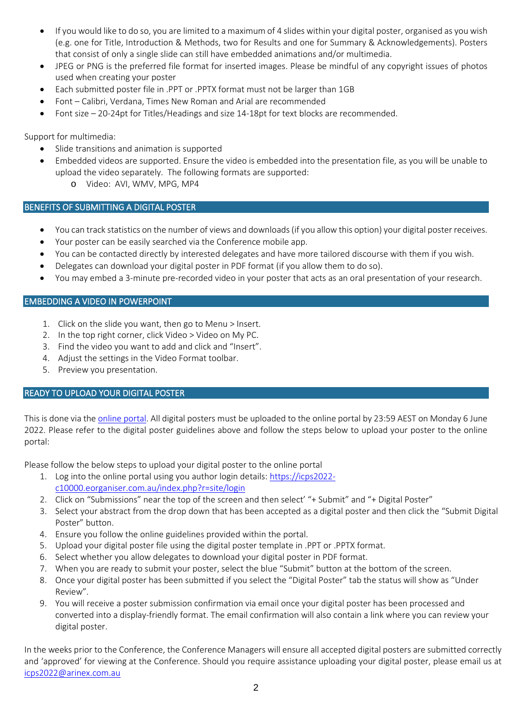- If you would like to do so, you are limited to a maximum of 4 slides within your digital poster, organised as you wish (e.g. one for Title, Introduction & Methods, two for Results and one for Summary & Acknowledgements). Posters that consist of only a single slide can still have embedded animations and/or multimedia.
- JPEG or PNG is the preferred file format for inserted images. Please be mindful of any copyright issues of photos used when creating your poster
- Each submitted poster file in .PPT or .PPTX format must not be larger than 1GB
- Font Calibri, Verdana, Times New Roman and Arial are recommended
- Font size 20-24pt for Titles/Headings and size 14-18pt for text blocks are recommended.

Support for multimedia:

- Slide transitions and animation is supported
- Embedded videos are supported. Ensure the video is embedded into the presentation file, as you will be unable to upload the video separately. The following formats are supported:
	- o Video: AVI, WMV, MPG, MP4

# BENEFITS OF SUBMITTING A DIGITAL POSTER

- You can track statistics on the number of views and downloads (if you allow this option) your digital poster receives.
- Your poster can be easily searched via the Conference mobile app.
- You can be contacted directly by interested delegates and have more tailored discourse with them if you wish.
- Delegates can download your digital poster in PDF format (if you allow them to do so).
- You may embed a 3-minute pre-recorded video in your poster that acts as an oral presentation of your research.

# EMBEDDING A VIDEO IN POWERPOINT

- 1. Click on the slide you want, then go to Menu > Insert.
- 2. In the top right corner, click Video > Video on My PC.
- 3. Find the video you want to add and click and "Insert".
- 4. Adjust the settings in the Video Format toolbar.
- 5. Preview you presentation.

# READY TO UPLOAD YOUR DIGITAL POSTER

This is done via the [online portal.](https://icps2022-c10000.eorganiser.com.au/index.php?r=site/login) All digital posters must be uploaded to the online portal by 23:59 AEST on Monday 6 June 2022. Please refer to the digital poster guidelines above and follow the steps below to upload your poster to the online portal:

Please follow the below steps to upload your digital poster to the online portal

- 1. Log into the online portal using you author login details[: https://icps2022](https://icps2022-c10000.eorganiser.com.au/index.php?r=site/login) [c10000.eorganiser.com.au/index.php?r=site/login](https://icps2022-c10000.eorganiser.com.au/index.php?r=site/login)
- 2. Click on "Submissions" near the top of the screen and then select' "+ Submit" and "+ Digital Poster"
- 3. Select your abstract from the drop down that has been accepted as a digital poster and then click the "Submit Digital Poster" button.
- 4. Ensure you follow the online guidelines provided within the portal.
- 5. Upload your digital poster file using the digital poster template in .PPT or .PPTX format.
- 6. Select whether you allow delegates to download your digital poster in PDF format.
- 7. When you are ready to submit your poster, select the blue "Submit" button at the bottom of the screen.
- 8. Once your digital poster has been submitted if you select the "Digital Poster" tab the status will show as "Under Review".
- 9. You will receive a poster submission confirmation via email once your digital poster has been processed and converted into a display-friendly format. The email confirmation will also contain a link where you can review your digital poster.

In the weeks prior to the Conference, the Conference Managers will ensure all accepted digital posters are submitted correctly and 'approved' for viewing at the Conference. Should you require assistance uploading your digital poster, please email us at [icps2022@arinex.com.au](mailto:icps2022@arinex.com.au)